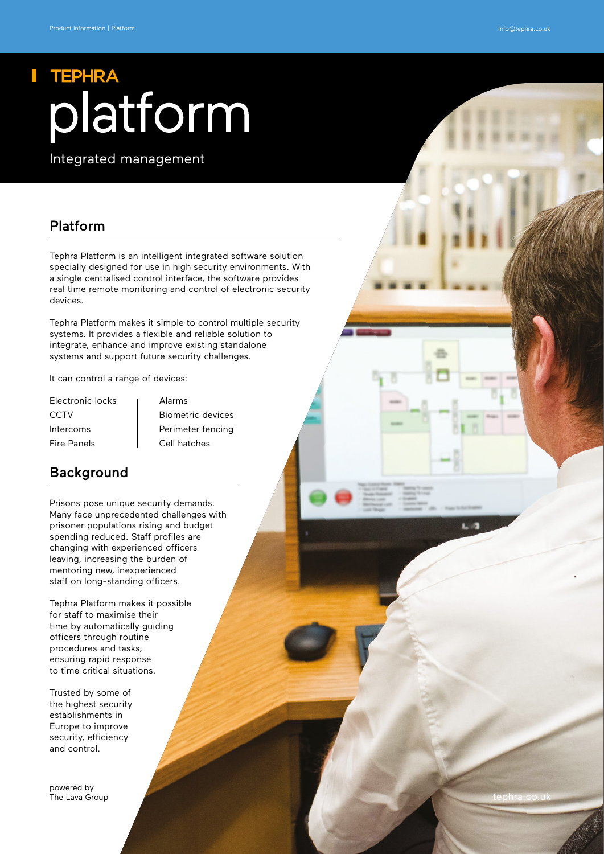# **TEPHRA** platform

Integrated management

### Platform

Tephra Platform is an intelligent integrated software solution specially designed for use in high security environments. With a single centralised control interface, the software provides real time remote monitoring and control of electronic security devices.

Tephra Platform makes it simple to control multiple security systems. It provides a flexible and reliable solution to integrate, enhance and improve existing standalone systems and support future security challenges.

It can control a range of devices:

- Electronic locks | Alarms Fire Panels Cell hatches
- CCTV | Biometric devices Intercoms Perimeter fencing

### Background

Prisons pose unique security demands. Many face unprecedented challenges with prisoner populations rising and budget spending reduced. Staff profiles are changing with experienced officers leaving, increasing the burden of mentoring new, inexperienced staff on long-standing officers.

Tephra Platform makes it possible for staff to maximise their time by automatically guiding officers through routine procedures and tasks, ensuring rapid response to time critical situations.

Trusted by some of the highest security establishments in Europe to improve security, efficiency and control.

powered by [The Lava Group](http://www.thelavagroup.co.uk)

[tephra.co.uk](http://www.tephra.co.uk)